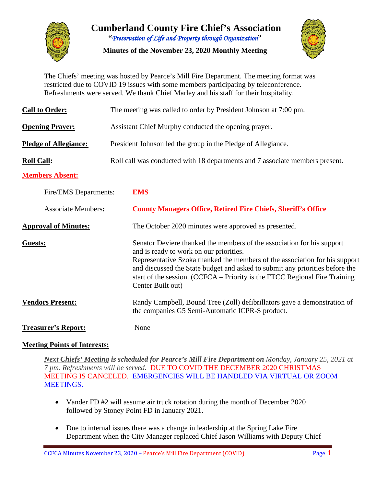

# **Cumberland County Fire Chief's Association "***Preservation of Life and Property through Organization***"**

**Minutes of the November 23, 2020 Monthly Meeting**



The Chiefs' meeting was hosted by Pearce's Mill Fire Department. The meeting format was restricted due to COVID 19 issues with some members participating by teleconference. Refreshments were served. We thank Chief Marley and his staff for their hospitality.

| <b>Call to Order:</b>        | The meeting was called to order by President Johnson at 7:00 pm.                                                                                                                                                                                                                                                                                                                    |  |  |  |  |  |  |  |  |  |
|------------------------------|-------------------------------------------------------------------------------------------------------------------------------------------------------------------------------------------------------------------------------------------------------------------------------------------------------------------------------------------------------------------------------------|--|--|--|--|--|--|--|--|--|
| <b>Opening Prayer:</b>       | Assistant Chief Murphy conducted the opening prayer.                                                                                                                                                                                                                                                                                                                                |  |  |  |  |  |  |  |  |  |
| <b>Pledge of Allegiance:</b> | President Johnson led the group in the Pledge of Allegiance.                                                                                                                                                                                                                                                                                                                        |  |  |  |  |  |  |  |  |  |
| <b>Roll Call:</b>            | Roll call was conducted with 18 departments and 7 associate members present.                                                                                                                                                                                                                                                                                                        |  |  |  |  |  |  |  |  |  |
| <b>Members Absent:</b>       |                                                                                                                                                                                                                                                                                                                                                                                     |  |  |  |  |  |  |  |  |  |
| Fire/EMS Departments:        | <b>EMS</b>                                                                                                                                                                                                                                                                                                                                                                          |  |  |  |  |  |  |  |  |  |
| <b>Associate Members:</b>    | <b>County Managers Office, Retired Fire Chiefs, Sheriff's Office</b>                                                                                                                                                                                                                                                                                                                |  |  |  |  |  |  |  |  |  |
| <b>Approval of Minutes:</b>  | The October 2020 minutes were approved as presented.                                                                                                                                                                                                                                                                                                                                |  |  |  |  |  |  |  |  |  |
| <b>Guests:</b>               | Senator Deviere thanked the members of the association for his support<br>and is ready to work on our priorities.<br>Representative Szoka thanked the members of the association for his support<br>and discussed the State budget and asked to submit any priorities before the<br>start of the session. (CCFCA – Priority is the FTCC Regional Fire Training<br>Center Built out) |  |  |  |  |  |  |  |  |  |
| <b>Vendors Present:</b>      | Randy Campbell, Bound Tree (Zoll) defibrillators gave a demonstration of<br>the companies G5 Semi-Automatic ICPR-S product.                                                                                                                                                                                                                                                         |  |  |  |  |  |  |  |  |  |
| <b>Treasurer's Report:</b>   | None                                                                                                                                                                                                                                                                                                                                                                                |  |  |  |  |  |  |  |  |  |

# **Meeting Points of Interests:**

*Next Chiefs' Meeting is scheduled for Pearce's Mill Fire Department on Monday, January 25, 2021 at 7 pm. Refreshments will be served.* DUE TO COVID THE DECEMBER 2020 CHRISTMAS MEETING IS CANCELED. EMERGENCIES WILL BE HANDLED VIA VIRTUAL OR ZOOM MEETINGS.

- Vander FD #2 will assume air truck rotation during the month of December 2020 followed by Stoney Point FD in January 2021.
- Due to internal issues there was a change in leadership at the Spring Lake Fire Department when the City Manager replaced Chief Jason Williams with Deputy Chief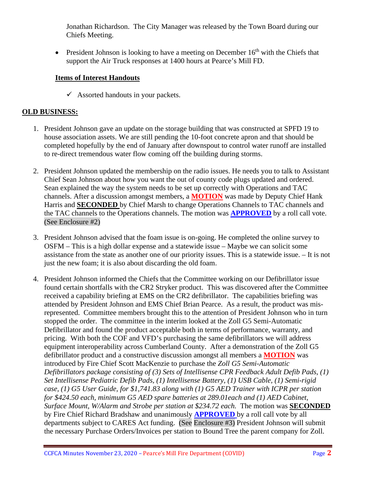Jonathan Richardson. The City Manager was released by the Town Board during our Chiefs Meeting.

• President Johnson is looking to have a meeting on December  $16<sup>th</sup>$  with the Chiefs that support the Air Truck responses at 1400 hours at Pearce's Mill FD.

#### **Items of Interest Handouts**

 $\checkmark$  Assorted handouts in your packets.

# **OLD BUSINESS:**

- 1. President Johnson gave an update on the storage building that was constructed at SPFD 19 to house association assets. We are still pending the 10-foot concrete apron and that should be completed hopefully by the end of January after downspout to control water runoff are installed to re-direct tremendous water flow coming off the building during storms.
- 2. President Johnson updated the membership on the radio issues. He needs you to talk to Assistant Chief Sean Johnson about how you want the out of county code plugs updated and ordered. Sean explained the way the system needs to be set up correctly with Operations and TAC channels. After a discussion amongst members, a **MOTION** was made by Deputy Chief Hank Harris and **SECONDED** by Chief Marsh to change Operations Channels to TAC channels and the TAC channels to the Operations channels. The motion was **APPROVED** by a roll call vote. (See Enclosure #2)
- 3. President Johnson advised that the foam issue is on-going. He completed the online survey to OSFM – This is a high dollar expense and a statewide issue – Maybe we can solicit some assistance from the state as another one of our priority issues. This is a statewide issue. – It is not just the new foam; it is also about discarding the old foam.
- 4. President Johnson informed the Chiefs that the Committee working on our Defibrillator issue found certain shortfalls with the CR2 Stryker product. This was discovered after the Committee received a capability briefing at EMS on the CR2 defibrillator. The capabilities briefing was attended by President Johnson and EMS Chief Brian Pearce. As a result, the product was misrepresented. Committee members brought this to the attention of President Johnson who in turn stopped the order. The committee in the interim looked at the Zoll G5 Semi-Automatic Defibrillator and found the product acceptable both in terms of performance, warranty, and pricing. With both the COF and VFD's purchasing the same defibrillators we will address equipment interoperability across Cumberland County. After a demonstration of the Zoll G5 defibrillator product and a constructive discussion amongst all members a **MOTION** was introduced by Fire Chief Scott MacKenzie to purchase the *Zoll G5 Semi-Automatic Defibrillators package consisting of (3) Sets of Intellisense CPR Feedback Adult Defib Pads, (1) Set Intellisense Pediatric Defib Pads, (1) Intellisense Battery, (1) USB Cable, (1) Semi-rigid case, (1) G5 User Guide, for \$1,741.83 along with (1) G5 AED Trainer with ICPR per station for \$424.50 each, minimum G5 AED spare batteries at 289.01each and (1) AED Cabinet, Surface Mount, W/Alarm and Strobe per station at \$234.72 each.* The motion was **SECONDED**  by Fire Chief Richard Bradshaw and unanimously **APPROVED** by a roll call vote by all departments subject to CARES Act funding. (See Enclosure #3) President Johnson will submit the necessary Purchase Orders/Invoices per station to Bound Tree the parent company for Zoll.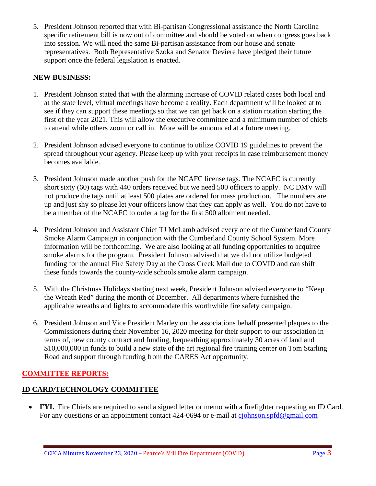5. President Johnson reported that with Bi-partisan Congressional assistance the North Carolina specific retirement bill is now out of committee and should be voted on when congress goes back into session. We will need the same Bi-partisan assistance from our house and senate representatives. Both Representative Szoka and Senator Deviere have pledged their future support once the federal legislation is enacted.

#### **NEW BUSINESS:**

- 1. President Johnson stated that with the alarming increase of COVID related cases both local and at the state level, virtual meetings have become a reality. Each department will be looked at to see if they can support these meetings so that we can get back on a station rotation starting the first of the year 2021. This will allow the executive committee and a minimum number of chiefs to attend while others zoom or call in. More will be announced at a future meeting.
- 2. President Johnson advised everyone to continue to utilize COVID 19 guidelines to prevent the spread throughout your agency. Please keep up with your receipts in case reimbursement money becomes available.
- 3. President Johnson made another push for the NCAFC license tags. The NCAFC is currently short sixty (60) tags with 440 orders received but we need 500 officers to apply. NC DMV will not produce the tags until at least 500 plates are ordered for mass production. The numbers are up and just shy so please let your officers know that they can apply as well. You do not have to be a member of the NCAFC to order a tag for the first 500 allotment needed.
- 4. President Johnson and Assistant Chief TJ McLamb advised every one of the Cumberland County Smoke Alarm Campaign in conjunction with the Cumberland County School System. More information will be forthcoming. We are also looking at all funding opportunities to acquiree smoke alarms for the program. President Johnson advised that we did not utilize budgeted funding for the annual Fire Safety Day at the Cross Creek Mall due to COVID and can shift these funds towards the county-wide schools smoke alarm campaign.
- 5. With the Christmas Holidays starting next week, President Johnson advised everyone to "Keep the Wreath Red" during the month of December. All departments where furnished the applicable wreaths and lights to accommodate this worthwhile fire safety campaign.
- 6. President Johnson and Vice President Marley on the associations behalf presented plaques to the Commissioners during their November 16, 2020 meeting for their support to our association in terms of, new county contract and funding, bequeathing approximately 30 acres of land and \$10,000,000 in funds to build a new state of the art regional fire training center on Tom Starling Road and support through funding from the CARES Act opportunity.

# **COMMITTEE REPORTS:**

# **ID CARD/TECHNOLOGY COMMITTEE**

• **FYI.** Fire Chiefs are required to send a signed letter or memo with a firefighter requesting an ID Card. For any questions or an appointment contact 424-0694 or e-mail at [cjohnson.spfd@gmail.com](mailto:cjohnson.spfd@gmail.com)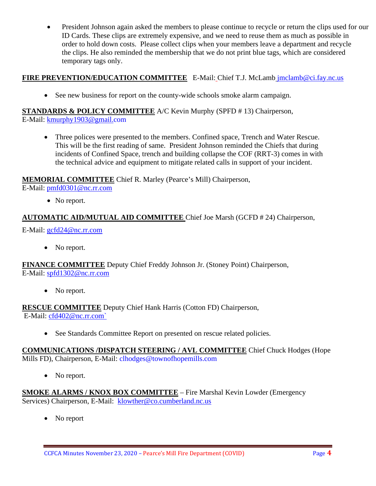• President Johnson again asked the members to please continue to recycle or return the clips used for our ID Cards. These clips are extremely expensive, and we need to reuse them as much as possible in order to hold down costs. Please collect clips when your members leave a department and recycle the clips. He also reminded the membership that we do not print blue tags, which are considered temporary tags only.

# **FIRE PREVENTION/EDUCATION COMMITTEE** E-Mail: Chief T.J. McLamb [jmclamb@ci.fay.nc.us](mailto:jmclamb@ci.fay.nc.us)

• See new business for report on the county-wide schools smoke alarm campaign.

**STANDARDS & POLICY COMMITTEE** A/C Kevin Murphy (SPFD # 13) Chairperson, E-Mail: [kmurphy1903@gmail.com](mailto:kmurphy1903@gmail.com)

• Three polices were presented to the members. Confined space, Trench and Water Rescue. This will be the first reading of same. President Johnson reminded the Chiefs that during incidents of Confined Space, trench and building collapse the COF (RRT-3) comes in with the technical advice and equipment to mitigate related calls in support of your incident.

# **MEMORIAL COMMITTEE** Chief R. Marley (Pearce's Mill) Chairperson,

E-Mail: [pmfd0301@nc.rr.com](mailto:pmfd0301@nc.rr.com)

• No report.

# **AUTOMATIC AID/MUTUAL AID COMMITTEE** Chief Joe Marsh (GCFD # 24) Chairperson,

E-Mail: [gcfd24@nc.rr.com](mailto:gcfd24@nc.rr.com)

• No report.

**FINANCE COMMITTEE** Deputy Chief Freddy Johnson Jr. (Stoney Point) Chairperson, E-Mail: [spfd1302@nc.rr.com](mailto:spfd1302@nc.rr.com)

• No report.

**RESCUE COMMITTEE** Deputy Chief Hank Harris (Cotton FD) Chairperson, E-Mail: [cfd402@nc.rr.com`](mailto:cfd402@nc.rr.com)

• See Standards Committee Report on presented on rescue related policies.

**COMMUNICATIONS /DISPATCH STEERING / AVL COMMITTEE** Chief Chuck Hodges (Hope Mills FD), Chairperson, E-Mail: clhodges@townofhopemills.com

• No report.

**SMOKE ALARMS / KNOX BOX COMMITTEE** – Fire Marshal Kevin Lowder (Emergency Services) Chairperson, E-Mail: [klowther@co.cumberland.nc.us](mailto:klowther@co.cumberland.nc.us)

• No report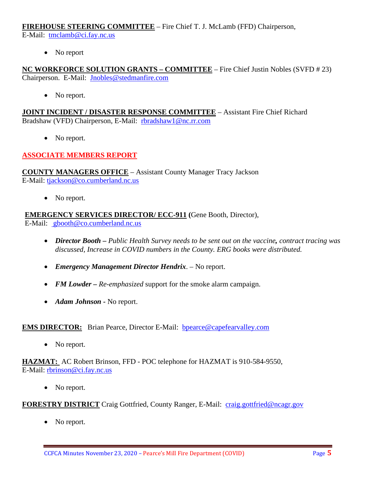**FIREHOUSE STEERING COMMITTEE** – Fire Chief T. J. McLamb (FFD) Chairperson,

E-Mail: [tmclamb@ci.fay.nc.us](mailto:tmclamb@ci.fay.nc.us)

• No report

**NC WORKFORCE SOLUTION GRANTS – COMMITTEE** – Fire Chief Justin Nobles (SVFD # 23) Chairperson. E-Mail: [Jnobles@stedmanfire.com](mailto:Jnobles@stedmanfire.com)

• No report.

**JOINT INCIDENT / DISASTER RESPONSE COMMITTEE** – Assistant Fire Chief Richard Bradshaw (VFD) Chairperson, E-Mail: [rbradshaw1@nc.rr.com](mailto:rbradshaw1@nc.rr.com)

• No report.

# **ASSOCIATE MEMBERS REPORT**

**COUNTY MANAGERS OFFICE** – Assistant County Manager Tracy Jackson E-Mail: [tjackson@co.cumberland.nc.us](mailto:tjackson@co.cumberland.nc.us)

• No report.

**EMERGENCY SERVICES DIRECTOR/ ECC-911 (**Gene Booth, Director), E-Mail: [gbooth@co.cumberland.nc.us](mailto:gbooth@co.cumberland.nc.us)

- *Director Booth – Public Health Survey needs to be sent out on the vaccine, contract tracing was discussed, Increase in COVID numbers in the County. ERG books were distributed.*
- *Emergency Management Director Hendrix*. No report.
- *FM Lowder Re-emphasized* support for the smoke alarm campaign.
- *Adam Johnson -* No report.

#### **EMS DIRECTOR:** Brian Pearce, Director E-Mail: **bpearce@capefearvalley.com**

• No report.

**HAZMAT:** AC Robert Brinson, FFD - POC telephone for HAZMAT is 910-584-9550, E-Mail: [rbrinson@ci.fay.nc.us](mailto:rbrinson@ci.fay.nc.us)

• No report.

**FORESTRY DISTRICT** Craig Gottfried, County Ranger, E-Mail: [craig.gottfried@ncagr.gov](mailto:craig.gottfried@ncagr.gov)

• No report.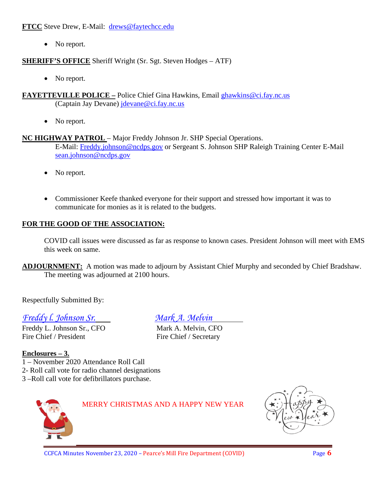**FTCC** Steve Drew, E-Mail: [drews@faytechcc.edu](mailto:drews@faytechcc.edu)

• No report.

**SHERIFF'S OFFICE** Sheriff Wright (Sr. Sgt. Steven Hodges – ATF)

- No report.
- **FAYETTEVILLE POLICE –** Police Chief Gina Hawkins, Email [ghawkins@ci.fay.nc.us](mailto:ghawkins@ci.fay.nc.us)  (Captain Jay Devane) [jdevane@ci.fay.nc.us](mailto:jdevane@ci.fay.nc.us)
	- No report.

#### **NC HIGHWAY PATROL** – Major Freddy Johnson Jr. SHP Special Operations.

E-Mail: [Freddy.johnson@ncdps.gov](mailto:Freddy.johnson@ncdps.gov) or Sergeant S. Johnson SHP Raleigh Training Center E-Mail [sean.johnson@ncdps.gov](mailto:sean.johnson@ncdps.gov)

- No report.
- Commissioner Keefe thanked everyone for their support and stressed how important it was to communicate for monies as it is related to the budgets.

# **FOR THE GOOD OF THE ASSOCIATION:**

COVID call issues were discussed as far as response to known cases. President Johnson will meet with EMS this week on same.

**ADJOURNMENT:** A motion was made to adjourn by Assistant Chief Murphy and seconded by Chief Bradshaw. The meeting was adjourned at 2100 hours.

Respectfully Submitted By:

# *Freddy l. Johnson Sr. Mark A. Melvin*

Freddy L. Johnson Sr., CFO Mark A. Melvin, CFO Fire Chief / President Fire Chief / Secretary

# **Enclosures – 3.**

- 1 November 2020 Attendance Roll Call
- 2- Roll call vote for radio channel designations
- 3 –Roll call vote for defibrillators purchase.



MERRY CHRISTMAS AND A HAPPY NEW YEAR

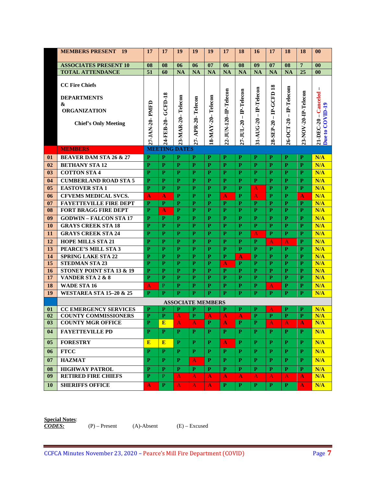|                          | <b>MEMBERS PRESENT 19</b>              | 17                      | 17                   | 19           | 19                       | 19           | 17                    | 18             | 16                      | 17           | 18           | 18                   | $\bf{00}$                    |
|--------------------------|----------------------------------------|-------------------------|----------------------|--------------|--------------------------|--------------|-----------------------|----------------|-------------------------|--------------|--------------|----------------------|------------------------------|
|                          | <b>ASSOCIATES PRESENT 10</b>           | 08                      | 08                   | 06           | 06                       | 07           | 06                    | 08             | 09                      | 07           | 08           | $\overline{7}$       | 00                           |
|                          | <b>TOTAL ATTENDANCE</b>                | 51                      | 60                   | <b>NA</b>    | <b>NA</b>                | <b>NA</b>    | <b>NA</b>             | <b>NA</b>      | <b>NA</b>               | <b>NA</b>    | <b>NA</b>    | 25                   | 0 <sub>0</sub>               |
|                          | <b>CC Fire Chiefs</b>                  |                         |                      |              |                          |              |                       |                |                         | 18           |              |                      | $\mathbf{I}$                 |
|                          | <b>DEPARTMENTS</b><br>&                |                         | GCFD-18              | Telecon      |                          | Telecon      |                       |                | IP-Telecon              | IP-GCFD      | IP-Telecom   |                      | Canceled                     |
|                          | <b>ORGANIZATION</b>                    |                         |                      |              |                          |              |                       | $-IP-Telecon$  | $\mathbf{I}$            | $\mathbf I$  | $\mathbf{I}$ |                      | $\mathsf I$                  |
|                          | <b>Chief's Only Meeting</b>            |                         |                      |              | APR-20-Telecon           |              |                       |                |                         |              |              |                      |                              |
|                          |                                        | 27-JAN-20- PMFD         | 24-FEB-20-           | 23-MAR-20-   | 27-                      | 18-MAY-20-   | 22-JUN-120-IP-Telecon | 27-JUL-20      | 31-AUG-20               | 28-SEP-20    | 26-OCT-20    | 23-NOV-20-IP-Telecon | Due to COVID-19<br>21-DEC-20 |
|                          | <b>MEMBERS</b>                         |                         | <b>MEETING DATES</b> |              |                          |              |                       |                |                         |              |              |                      |                              |
| 01                       | <b>BEAVER DAM STA 26 &amp; 27</b>      | P                       | P                    | P            | P                        | P            | P                     | P              | P                       | P            | P            | P                    | N/A                          |
| 02                       | <b>BETHANY STA 12</b>                  | P                       | $\mathbf{P}$         | P            | P                        | P            | $\mathbf{P}$          | $\mathbf{P}$   | P                       | $\mathbf{P}$ | $\mathbf{P}$ | P                    | N/A                          |
| 03                       | <b>COTTON STA 4</b>                    | $\mathbf{P}$            | $\mathbf{P}$         | P            | $\mathbf{P}$             | $\mathbf{P}$ | $\mathbf{P}$          | $\mathbf{P}$   | $\mathbf{p}$            | P            | $\mathbf{p}$ | P                    | N/A                          |
| 04                       | <b>CUMBERLAND ROAD STA 5</b>           | P                       | $\mathbf{P}$         | P            | P                        | P            | $\mathbf{P}$          | P              | P                       | P            | P            | P                    | N/A                          |
| 05                       | <b>EASTOVER STA1</b>                   | P                       | $\mathbf{P}$         | $\mathbf{p}$ | $\mathbf{p}$             | $\mathbf{p}$ | $\mathbf{P}$          | $\mathbf{p}$   | A                       | $\mathbf{p}$ | $\mathbf{p}$ | P                    | N/A                          |
| 06                       | <b>CFVEMS MEDICAL SVCS.</b>            | A                       | A                    | $\mathbf{P}$ | $\mathbf{P}$             | P            | A                     | P              | A                       | P            | $\mathbf{P}$ | A                    | N/A                          |
| 07                       | <b>FAYETTEVILLE FIRE DEPT</b>          | P                       | P                    | P            | $\mathbf{P}$             | P            | P                     | P              | P                       | $\mathbf{P}$ | P            | P                    | N/A                          |
| 08                       | <b>FORT BRAGG FIRE DEPT</b>            | P                       | A                    | P            | $\mathbf{P}$             | $\mathbf{P}$ | $\mathbf{P}$          | $\mathbf{P}$   | $\mathbf{P}$            | $\mathbf{P}$ | $\mathbf{P}$ | P                    | N/A                          |
| 09                       | <b>GODWIN-FALCON STA 17</b>            | $\mathbf{P}$            | P                    | $\mathbf{P}$ | P                        | $\mathbf{P}$ | $\mathbf{P}$          | $\mathbf{P}$   | P                       | P            | P            | P                    | N/A                          |
| 10                       | <b>GRAYS CREEK STA 18</b>              | $\mathbf{P}$            | $\mathbf{P}$         | P            | P                        | $\mathbf{P}$ | $\mathbf{P}$          | $\mathbf{P}$   | $\mathbf{P}$            | P            | P            | P                    | N/A                          |
| 11                       | <b>GRAYS CREEK STA 24</b>              | P                       | $\mathbf{P}$         | $\mathbf{P}$ | $\mathbf{P}$             | P            | P                     | $\mathbf{P}$   | A                       | P            | P            | P                    | N/A                          |
| 12                       | <b>HOPE MILLS STA 21</b>               | $\mathbf{P}$            | $\mathbf{p}$         | $\mathbf{p}$ | $\mathbf{p}$             | $\mathbf{p}$ | $\mathbf{p}$          | $\mathbf{p}$   | $\mathbf{p}$            | A            | $\mathbf{A}$ | P                    | N/A                          |
| 13                       | PEARCE'S MILL STA 3                    | $\mathbf{P}$            | $\mathbf{P}$         | $\mathbf{P}$ | P                        | $\mathbf{P}$ | $\mathbf{P}$          | $\mathbf{P}$   | $\mathbf{p}$            | P            | P            | P                    | N/A                          |
| 14                       | <b>SPRING LAKE STA 22</b>              | P                       | P                    | P            | P                        | $\mathbf{P}$ | $\mathbf{P}$          | A              | $\mathbf{P}$            | P            | P            | P                    | N/A                          |
| 15                       | <b>STEDMAN STA 23</b>                  | $\mathbf{P}$            | $\mathbf{P}$         | $\mathbf{P}$ | P                        | $\mathbf{P}$ | A                     | P              | P                       | P            | P            | P                    | N/A                          |
| 16                       | STONEY POINT STA 13 $\overline{\&}$ 19 | P                       | P                    | P            | P                        | P            | P                     | P              | $\mathbf{P}$            | P            | P            | P                    | N/A                          |
| 17                       | VANDER STA 2 & 8                       | $\mathbf{P}$            | $\mathbf{P}$         | $\mathbf{p}$ | $\mathbf{P}$             | $\mathbf{P}$ | $\mathbf{P}$          | $\mathbf{P}$   | $\mathbf{p}$            | $\mathbf{p}$ | $\mathbf{p}$ | $\mathbf{P}$         | N/A                          |
| 18                       | <b>WADE STA 16</b>                     | A                       | P                    | P            | P                        | $\mathbf{P}$ | $\mathbf{P}$          | P              | P                       | A            | P            | P                    | N/A                          |
| 19                       | <b>WESTAREA STA 15-20 &amp; 25</b>     | $\mathbf{P}$            | $\mathbf{p}$         | $\mathbf{p}$ | $\mathbf{p}$             | $\mathbf{p}$ | $\mathbf{p}$          | $\mathbf{p}$   | $\mathbf{p}$            | $\mathbf{p}$ | $\mathbf{p}$ | $\mathbf{P}$         | N/A                          |
|                          |                                        |                         |                      |              | <b>ASSOCIATE MEMBERS</b> |              |                       |                |                         |              |              |                      |                              |
| 01                       | <b>CC EMERGENCY SERVICES</b>           | P                       | P                    | P            | P                        | P            | P                     | P              | P                       | Α            | P            | P                    | N/A                          |
| 02                       | <b>COUNTY COMMISSIONERS</b>            | P                       | P                    | A            | $\mathbf{P}$             | A            | A                     | A              | P                       | P            | P            | P                    | N/A                          |
| $\overline{\mathbf{03}}$ | <b>COUNTY MGR OFFICE</b>               | $\overline{\mathbf{P}}$ | E                    | A            | $\bf{A}$                 | $\mathbf{P}$ | $\mathbf{A}$          | $\overline{P}$ | $\overline{\mathbf{P}}$ | A            | A            | $\mathbf{A}$         | N/A                          |
| 04                       | <b>FAYETTEVILLE PD</b>                 | P                       | P                    | P.           | P.                       | P            | P.                    | P              | P                       | P.           | P.           | P.                   | N/A                          |
| 0 <sub>5</sub>           | <b>FORESTRY</b>                        | E                       | E                    | P            | P                        | P.           | $\mathbf{A}$          | P.             | P                       | P.           | P.           | P                    | N/A                          |
| 06                       | <b>FTCC</b>                            | P                       | P                    | P            | $\mathbf{P}$             | P            | $\mathbf{P}$          | P              | P                       | P            | P.           | P                    | N/A                          |
| 07                       | <b>HAZMAT</b>                          | P                       | P                    | P            | A                        | P            | P                     | P              | P                       | P            | P            | P                    | N/A                          |
| 08                       | <b>HIGHWAY PATROL</b>                  | P                       | P                    | P            | P                        | P            | P                     | P              | P                       | P            | P            | P                    | N/A                          |
| 09                       | <b>RETIRED FIRE CHIEFS</b>             | P                       | P                    | A            | A                        | A            | A                     | A              | $\bf{A}$                | A            | $\mathbf{A}$ | A                    | N/A                          |
| 10                       | <b>SHERIFFS OFFICE</b>                 | A                       | $\mathbf{P}$         | A            | A                        | A            | $\mathbf{P}$          | $\mathbf{P}$   | $\mathbf{P}$            | $\mathbf{P}$ | $\mathbf{P}$ | A                    | N/A                          |

**Special Notes**:

*CODES:* (P) – Present (A)-Absent (E) – Excused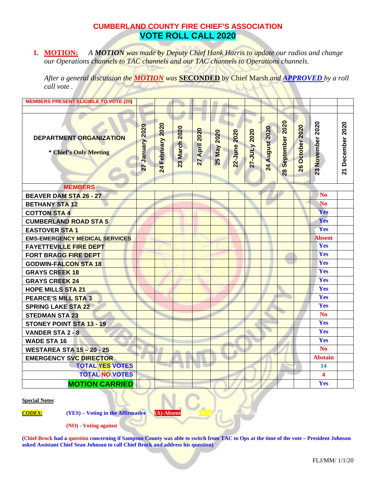# **CUMBERLAND COUNTY FIRE CHIEF'S ASSOCIATION VOTE ROLL CALL 2020**

**1. MOTION:** *A MOTION was made by Deputy Chief Hank Harris to update our radios and change our Operations channels to TAC channels and our TAC channels to Operations channels.*

*After a general discussion the MOTION was* **SECONDED** by Chief Marsh *and APPROVED by a roll call vote .* 

| <b>MEMBERS PRESENT ELIGIBLE TO VOTE (20)</b>      |                    |                     |               |               |             |              |              |                |                                   |                 |                  |                  |
|---------------------------------------------------|--------------------|---------------------|---------------|---------------|-------------|--------------|--------------|----------------|-----------------------------------|-----------------|------------------|------------------|
|                                                   |                    |                     |               |               |             |              |              |                |                                   |                 |                  |                  |
| DEPARTMENT ORGANIZATION<br>* Chief's Only Meeting | 2020<br>27 January | 2020<br>24 February | 23 March 2020 | 27 April 2020 | 25 May 2020 | 22-June 2020 | 27-JULy 2020 | 24 August 2020 | September 2020<br>$\overline{28}$ | 26 October 2020 | 23 November 2020 | 21 December 2020 |
| <b>MEMBERS</b>                                    |                    |                     |               |               |             |              |              |                |                                   |                 |                  |                  |
| <b>BEAVER DAM STA 26 - 27</b>                     |                    |                     |               |               |             |              |              |                |                                   |                 | <b>No</b>        |                  |
| <b>BETHANY STA 12</b>                             |                    |                     |               |               |             |              |              |                |                                   |                 | <b>No</b>        |                  |
| <b>COTTON STA 4</b>                               |                    |                     |               |               |             |              |              |                |                                   |                 | Yes              |                  |
| <b>CUMBERLAND ROAD STA 5</b>                      |                    |                     |               |               |             |              |              |                |                                   |                 | Yes              |                  |
| <b>EASTOVER STA 1</b>                             |                    |                     |               |               |             |              |              |                |                                   |                 | Yes              |                  |
| <b>EMS-EMERGENCY MEDICAL SERVICES</b>             |                    |                     |               |               |             |              |              |                |                                   |                 | <b>Absent</b>    |                  |
| <b>FAYETTEVILLE FIRE DEPT</b>                     |                    |                     |               |               |             |              |              |                |                                   |                 | Yes              |                  |
| <b>FORT BRAGG FIRE DEPT</b>                       |                    |                     |               |               |             |              |              |                |                                   |                 | Yes              |                  |
| <b>GODWIN-FALCON STA 18</b>                       |                    |                     |               |               |             |              |              |                |                                   |                 | Yes              |                  |
| <b>GRAYS CREEK 18</b>                             |                    |                     |               |               |             |              |              |                |                                   |                 | Yes              |                  |
| <b>GRAYS CREEK 24</b>                             |                    |                     |               |               |             |              |              |                |                                   |                 | Yes              |                  |
| <b>HOPE MILLS STA 21</b>                          |                    |                     |               |               |             |              |              |                |                                   |                 | Yes              |                  |
| <b>PEARCE'S MILL STA 3</b>                        |                    |                     |               |               |             |              |              |                |                                   |                 | Yes              |                  |
| <b>SPRING LAKE STA 22</b>                         |                    |                     |               |               |             |              |              |                |                                   |                 | Yes              |                  |
| <b>STEDMAN STA 23</b>                             |                    |                     |               |               |             |              |              |                |                                   |                 | N <sub>o</sub>   |                  |
| <b>STONEY POINT STA 13 - 19</b>                   |                    |                     |               |               |             |              |              |                |                                   |                 | Yes              |                  |
| VANDER STA 2 - 8                                  |                    |                     |               |               |             |              |              |                |                                   |                 | Yes              |                  |
| <b>WADE STA 16</b>                                |                    |                     |               |               |             |              |              |                |                                   |                 | Yes              |                  |
| <b>WESTAREA STA 15-20-25</b>                      |                    |                     |               |               |             |              |              |                |                                   |                 | <b>No</b>        |                  |
| <b>EMERGENCY SVC DIRECTOR</b>                     |                    |                     |               |               |             |              |              |                |                                   |                 | <b>Abstain</b>   |                  |
| <b>TOTAL YES VOTES</b>                            |                    |                     |               |               |             |              |              |                |                                   |                 | 14               |                  |
| <b>TOTAL NO VOTES</b>                             |                    |                     |               |               |             |              |              |                |                                   |                 | 4                |                  |
| <b>MOTION CARRIED</b>                             |                    |                     |               |               |             |              |              |                |                                   |                 | Yes              |                  |

**Special Notes**:

*CODES:* **<b>(YES)** – **Voting in the Affirmative (A)-Absent** 

**(NO) - Voting against**

**(Chief Brock had a question concerning if Sampson County was able to switch from TAC to Ops at the time of the vote – President Johnson asked Assistant Chief Sean Johnson to call Chief Brock and address his question)**